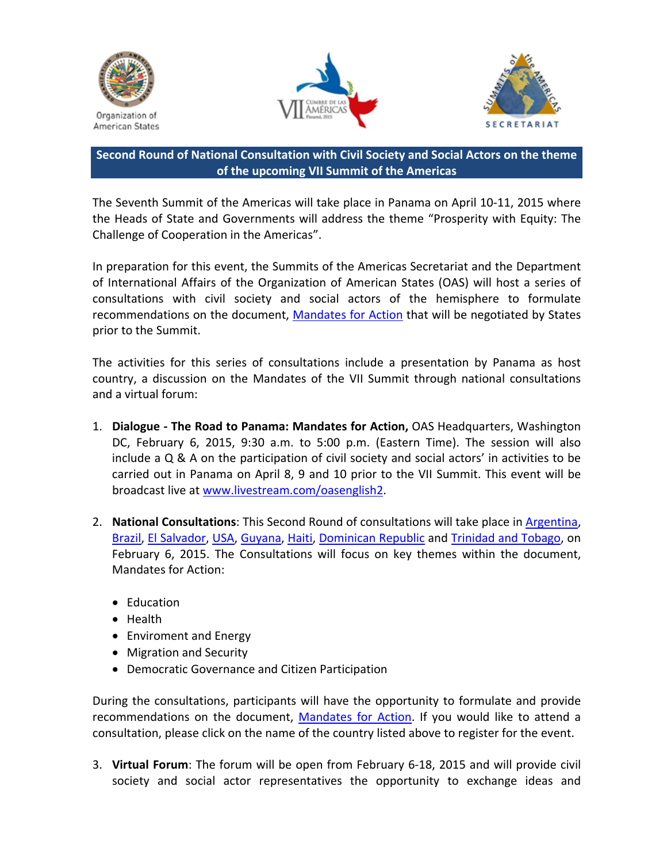





## **Second Round of National Consultation with Civil Society and Social Actors on the theme of the upcoming VII Summit of the Americas**

The Seventh Summit of the Americas will take place in Panama on April 10‐11, 2015 where the Heads of State and Governments will address the theme "Prosperity with Equity: The Challenge of Cooperation in the Americas".

In preparation for this event, the Summits of the Americas Secretariat and the Department of International Affairs of the Organization of American States (OAS) will host a series of consultations with civil society and social actors of the hemisphere to formulate recommendations on the document, [Mandates](http://www.summit-americas.org/SIRG/2015/012215/mandates_en.doc) for Action that will be negotiated by States prior to the Summit.

The activities for this series of consultations include a presentation by Panama as host country, a discussion on the Mandates of the VII Summit through national consultations and a virtual forum:

- 1. **Dialogue ‐ The Road to Panama: Mandates for Action,** OAS Headquarters, Washington DC, February 6, 2015, 9:30 a.m. to 5:00 p.m. (Eastern Time). The session will also include a Q & A on the participation of civil society and social actors' in activities to be carried out in Panama on April 8, 9 and 10 prior to the VII Summit. This event will be broadcast live at [www.livestream.com/oasenglish2.](http://www.livestream.com/oasenglish2)
- 2. **National Consultations**: This Second Round of consultations will take place in [Argentina,](http://argentinaconsultanacional.eventbrite.com/) [Brazil,](http://brasilconsultanational.eventbrite.com/) El [Salvador](http://elsalvadorconsultanacional.eventbrite.com/), [USA](http://nationalconsultationusa.eventbrite.com/), [Guyana](http://guyanationalconsultation.eventbrite.com/), [Haiti,](http://haiticonsultationnationale.eventbrite.com/) [Dominican](http://consultanacionalrepublicadominicana.eventbrite.com/) Republic and [Trinidad](http://nationalconsultationtrinidadandtobago.eventbrite.com/) and Tobago, on February 6, 2015. The Consultations will focus on key themes within the document, Mandates for Action:
	- Education
	- Health
	- Enviroment and Energy
	- Migration and Security
	- Democratic Governance and Citizen Participation

During the consultations, participants will have the opportunity to formulate and provide recommendations on the document, [Mandates](http://www.summit-americas.org/SIRG/2015/012215/mandates_en.doc) for Action. If you would like to attend a consultation, please click on the name of the country listed above to register for the event.

3. **Virtual Forum**: The forum will be open from February 6‐18, 2015 and will provide civil society and social actor representatives the opportunity to exchange ideas and